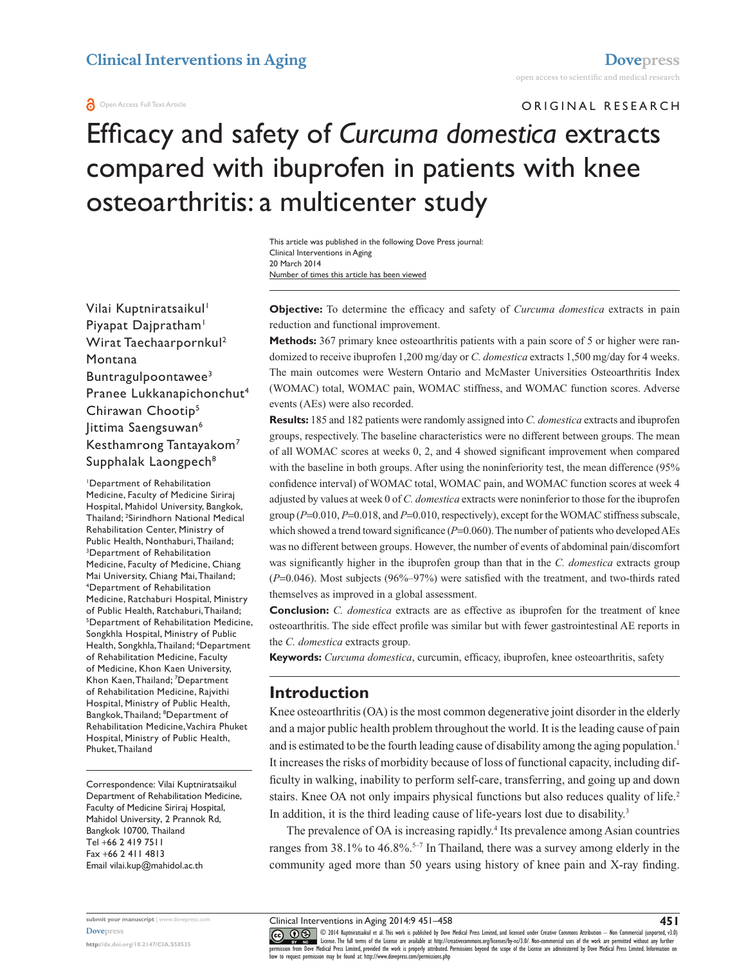#### **a** Open Access Full Text Article

ORIGINAL RESEARCH

# Efficacy and safety of *Curcuma domestica* extracts compared with ibuprofen in patients with knee osteoarthritis: a multicenter study

Number of times this article has been viewed This article was published in the following Dove Press journal: Clinical Interventions in Aging 20 March 2014

Vilai Kuptniratsaikul<sup>1</sup> Piyapat Dajpratham<sup>1</sup> Wirat Taechaarpornkul2 Montana Buntragulpoontawee3 Pranee Lukkanapichonchut4 Chirawan Chootip5 Jittima Saengsuwan<sup>6</sup> Kesthamrong Tantayakom<sup>7</sup> Supphalak Laongpech<sup>8</sup>

1 Department of Rehabilitation Medicine, Faculty of Medicine Siriraj Hospital, Mahidol University, Bangkok, Thailand; 2 Sirindhorn National Medical Rehabilitation Center, Ministry of Public Health, Nonthaburi, Thailand; 3 Department of Rehabilitation Medicine, Faculty of Medicine, Chiang Mai University, Chiang Mai, Thailand; 4 Department of Rehabilitation Medicine, Ratchaburi Hospital, Ministry of Public Health, Ratchaburi, Thailand; 5 Department of Rehabilitation Medicine, Songkhla Hospital, Ministry of Public Health, Songkhla, Thailand; 6 Department of Rehabilitation Medicine, Faculty of Medicine, Khon Kaen University, Khon Kaen, Thailand; 7 Department of Rehabilitation Medicine, Rajvithi Hospital, Ministry of Public Health, Bangkok, Thailand; 8 Department of Rehabilitation Medicine, Vachira Phuket Hospital, Ministry of Public Health, Phuket, Thailand

Correspondence: Vilai Kuptniratsaikul Department of Rehabilitation Medicine, Faculty of Medicine Siriraj Hospital, Mahidol University, 2 Prannok Rd, Bangkok 10700, Thailand Tel +66 2 419 7511 Fax +66 2 411 4813 Email [vilai.kup@mahidol.ac.th](mailto:vilai.kup@mahidol.ac.th)

**Objective:** To determine the efficacy and safety of *Curcuma domestica* extracts in pain reduction and functional improvement.

**Methods:** 367 primary knee osteoarthritis patients with a pain score of 5 or higher were randomized to receive ibuprofen 1,200 mg/day or *C. domestica* extracts 1,500 mg/day for 4 weeks. The main outcomes were Western Ontario and McMaster Universities Osteoarthritis Index (WOMAC) total, WOMAC pain, WOMAC stiffness, and WOMAC function scores. Adverse events (AEs) were also recorded.

**Results:** 185 and 182 patients were randomly assigned into *C. domestica* extracts and ibuprofen groups, respectively. The baseline characteristics were no different between groups. The mean of all WOMAC scores at weeks 0, 2, and 4 showed significant improvement when compared with the baseline in both groups. After using the noninferiority test, the mean difference (95% confidence interval) of WOMAC total, WOMAC pain, and WOMAC function scores at week 4 adjusted by values at week 0 of *C. domestica* extracts were noninferior to those for the ibuprofen group (*P*=0.010, *P*=0.018, and *P*=0.010, respectively), except for the WOMAC stiffness subscale, which showed a trend toward significance  $(P=0.060)$ . The number of patients who developed AEs was no different between groups. However, the number of events of abdominal pain/discomfort was significantly higher in the ibuprofen group than that in the *C. domestica* extracts group (*P*=0.046). Most subjects (96%–97%) were satisfied with the treatment, and two-thirds rated themselves as improved in a global assessment.

**Conclusion:** *C. domestica* extracts are as effective as ibuprofen for the treatment of knee osteoarthritis. The side effect profile was similar but with fewer gastrointestinal AE reports in the *C. domestica* extracts group.

**Keywords:** *Curcuma domestica*, curcumin, efficacy, ibuprofen, knee osteoarthritis, safety

# **Introduction**

Knee osteoarthritis (OA) is the most common degenerative joint disorder in the elderly and a major public health problem throughout the world. It is the leading cause of pain and is estimated to be the fourth leading cause of disability among the aging population.<sup>1</sup> It increases the risks of morbidity because of loss of functional capacity, including difficulty in walking, inability to perform self-care, transferring, and going up and down stairs. Knee OA not only impairs physical functions but also reduces quality of life.<sup>2</sup> In addition, it is the third leading cause of life-years lost due to disability.<sup>3</sup>

The prevalence of OA is increasing rapidly.<sup>4</sup> Its prevalence among Asian countries ranges from  $38.1\%$  to  $46.8\%$ <sup>5-7</sup> In Thailand, there was a survey among elderly in the community aged more than 50 years using history of knee pain and X-ray finding.

Clinical Interventions in Aging 2014:9 451–458

CO ODI4 Kuptmiratsaikul et al. This work is published by Dove Medical Press Limited, and licensed under Creative Commons Attribution - Non Commercial (unported, v3.0)<br> [permission from Dove M](http://www.dovepress.com/permissions.php)edical Press Limited, provided t how to request permission may be found at: http://www.dovepress.com/permissions.php

**submit your manuscript** | <www.dovepress.com> **[Dovepress](www.dovepress.com)**

**<http://dx.doi.org/10.2147/CIA.S58535>**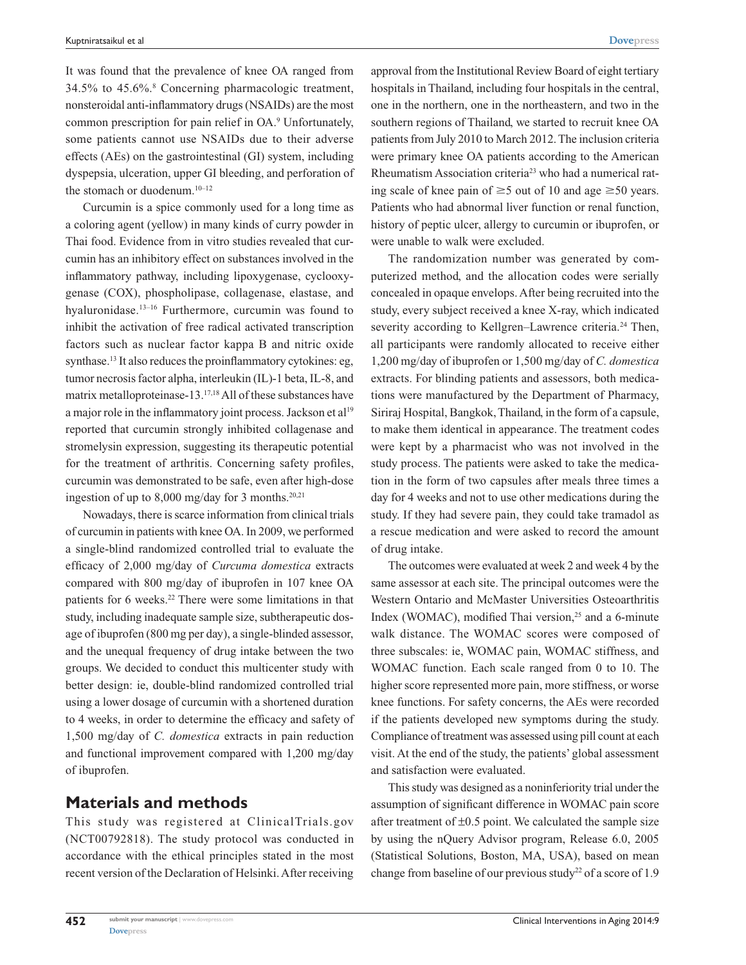It was found that the prevalence of knee OA ranged from 34.5% to 45.6%.8 Concerning pharmacologic treatment, nonsteroidal anti-inflammatory drugs (NSAIDs) are the most common prescription for pain relief in OA.<sup>9</sup> Unfortunately, some patients cannot use NSAIDs due to their adverse effects (AEs) on the gastrointestinal (GI) system, including dyspepsia, ulceration, upper GI bleeding, and perforation of the stomach or duodenum.<sup>10–12</sup>

Curcumin is a spice commonly used for a long time as a coloring agent (yellow) in many kinds of curry powder in Thai food. Evidence from in vitro studies revealed that curcumin has an inhibitory effect on substances involved in the inflammatory pathway, including lipoxygenase, cyclooxygenase (COX), phospholipase, collagenase, elastase, and hyaluronidase.13–16 Furthermore, curcumin was found to inhibit the activation of free radical activated transcription factors such as nuclear factor kappa B and nitric oxide synthase.<sup>13</sup> It also reduces the proinflammatory cytokines: eg, tumor necrosis factor alpha, interleukin (IL)-1 beta, IL-8, and matrix metalloproteinase-13.17,18 All of these substances have a major role in the inflammatory joint process. Jackson et al<sup>19</sup> reported that curcumin strongly inhibited collagenase and stromelysin expression, suggesting its therapeutic potential for the treatment of arthritis. Concerning safety profiles, curcumin was demonstrated to be safe, even after high-dose ingestion of up to  $8,000$  mg/day for 3 months.<sup>20,21</sup>

Nowadays, there is scarce information from clinical trials of curcumin in patients with knee OA. In 2009, we performed a single-blind randomized controlled trial to evaluate the efficacy of 2,000 mg/day of *Curcuma domestica* extracts compared with 800 mg/day of ibuprofen in 107 knee OA patients for 6 weeks.<sup>22</sup> There were some limitations in that study, including inadequate sample size, subtherapeutic dosage of ibuprofen (800 mg per day), a single-blinded assessor, and the unequal frequency of drug intake between the two groups. We decided to conduct this multicenter study with better design: ie, double-blind randomized controlled trial using a lower dosage of curcumin with a shortened duration to 4 weeks, in order to determine the efficacy and safety of 1,500 mg/day of *C. domestica* extracts in pain reduction and functional improvement compared with 1,200 mg/day of ibuprofen.

### **Materials and methods**

This study was registered at ClinicalTrials.gov (NCT00792818). The study protocol was conducted in accordance with the ethical principles stated in the most recent version of the Declaration of Helsinki. After receiving approval from the Institutional Review Board of eight tertiary hospitals in Thailand, including four hospitals in the central, one in the northern, one in the northeastern, and two in the southern regions of Thailand, we started to recruit knee OA patients from July 2010 to March 2012. The inclusion criteria were primary knee OA patients according to the American Rheumatism Association criteria23 who had a numerical rating scale of knee pain of  $\geq$  5 out of 10 and age  $\geq$  50 years. Patients who had abnormal liver function or renal function, history of peptic ulcer, allergy to curcumin or ibuprofen, or were unable to walk were excluded.

The randomization number was generated by computerized method, and the allocation codes were serially concealed in opaque envelops. After being recruited into the study, every subject received a knee X-ray, which indicated severity according to Kellgren–Lawrence criteria.<sup>24</sup> Then, all participants were randomly allocated to receive either 1,200 mg/day of ibuprofen or 1,500 mg/day of *C. domestica* extracts. For blinding patients and assessors, both medications were manufactured by the Department of Pharmacy, Siriraj Hospital, Bangkok, Thailand, in the form of a capsule, to make them identical in appearance. The treatment codes were kept by a pharmacist who was not involved in the study process. The patients were asked to take the medication in the form of two capsules after meals three times a day for 4 weeks and not to use other medications during the study. If they had severe pain, they could take tramadol as a rescue medication and were asked to record the amount of drug intake.

The outcomes were evaluated at week 2 and week 4 by the same assessor at each site. The principal outcomes were the Western Ontario and McMaster Universities Osteoarthritis Index (WOMAC), modified Thai version,<sup>25</sup> and a 6-minute walk distance. The WOMAC scores were composed of three subscales: ie, WOMAC pain, WOMAC stiffness, and WOMAC function. Each scale ranged from 0 to 10. The higher score represented more pain, more stiffness, or worse knee functions. For safety concerns, the AEs were recorded if the patients developed new symptoms during the study. Compliance of treatment was assessed using pill count at each visit. At the end of the study, the patients' global assessment and satisfaction were evaluated.

This study was designed as a noninferiority trial under the assumption of significant difference in WOMAC pain score after treatment of  $\pm 0.5$  point. We calculated the sample size by using the nQuery Advisor program, Release 6.0, 2005 (Statistical Solutions, Boston, MA, USA), based on mean change from baseline of our previous study<sup>22</sup> of a score of 1.9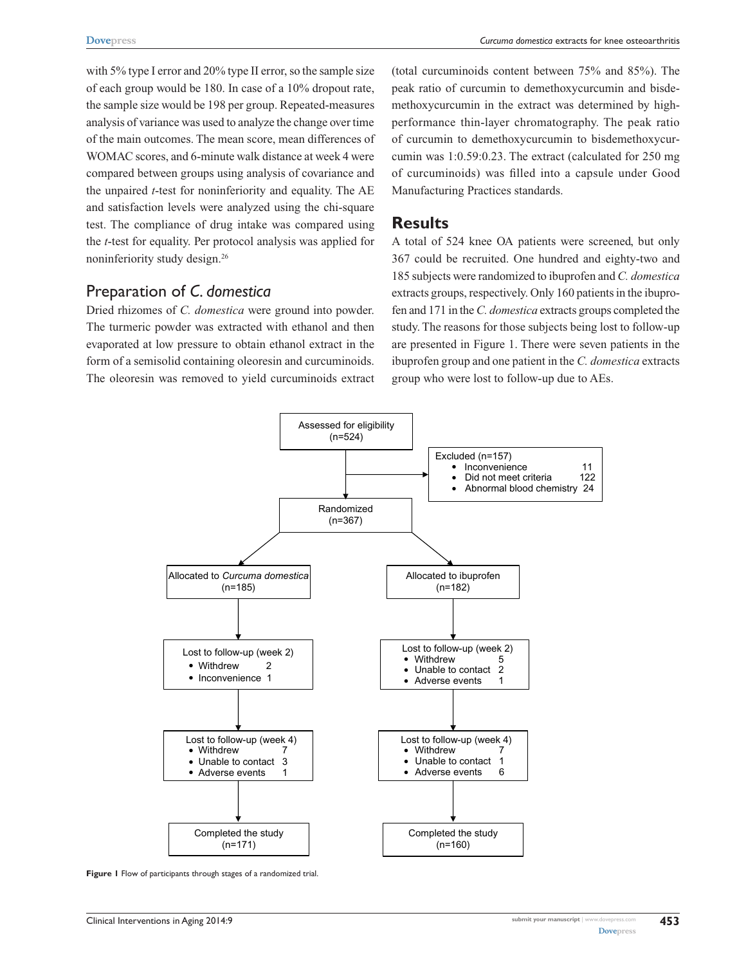*Curcuma domestica* extracts for knee osteoarthritis

with 5% type I error and 20% type II error, so the sample size of each group would be 180. In case of a 10% dropout rate, the sample size would be 198 per group. Repeated-measures analysis of variance was used to analyze the change over time of the main outcomes. The mean score, mean differences of WOMAC scores, and 6-minute walk distance at week 4 were compared between groups using analysis of covariance and the unpaired *t*-test for noninferiority and equality. The AE and satisfaction levels were analyzed using the chi-square test. The compliance of drug intake was compared using the *t*-test for equality. Per protocol analysis was applied for noninferiority study design.26

# Preparation of *C. domestica*

Dried rhizomes of *C. domestica* were ground into powder. The turmeric powder was extracted with ethanol and then evaporated at low pressure to obtain ethanol extract in the form of a semisolid containing oleoresin and curcuminoids. The oleoresin was removed to yield curcuminoids extract (total curcuminoids content between 75% and 85%). The peak ratio of curcumin to demethoxycurcumin and bisdemethoxycurcumin in the extract was determined by highperformance thin-layer chromatography. The peak ratio of curcumin to demethoxycurcumin to bisdemethoxycurcumin was 1:0.59:0.23. The extract (calculated for 250 mg of curcuminoids) was filled into a capsule under Good Manufacturing Practices standards.

## **Results**

A total of 524 knee OA patients were screened, but only 367 could be recruited. One hundred and eighty-two and 185 subjects were randomized to ibuprofen and *C. domestica* extracts groups, respectively. Only 160 patients in the ibuprofen and 171 in the *C. domestica* extracts groups completed the study. The reasons for those subjects being lost to follow-up are presented in Figure 1. There were seven patients in the ibuprofen group and one patient in the *C. domestica* extracts group who were lost to follow-up due to AEs.



**Figure 1** Flow of participants through stages of a randomized trial.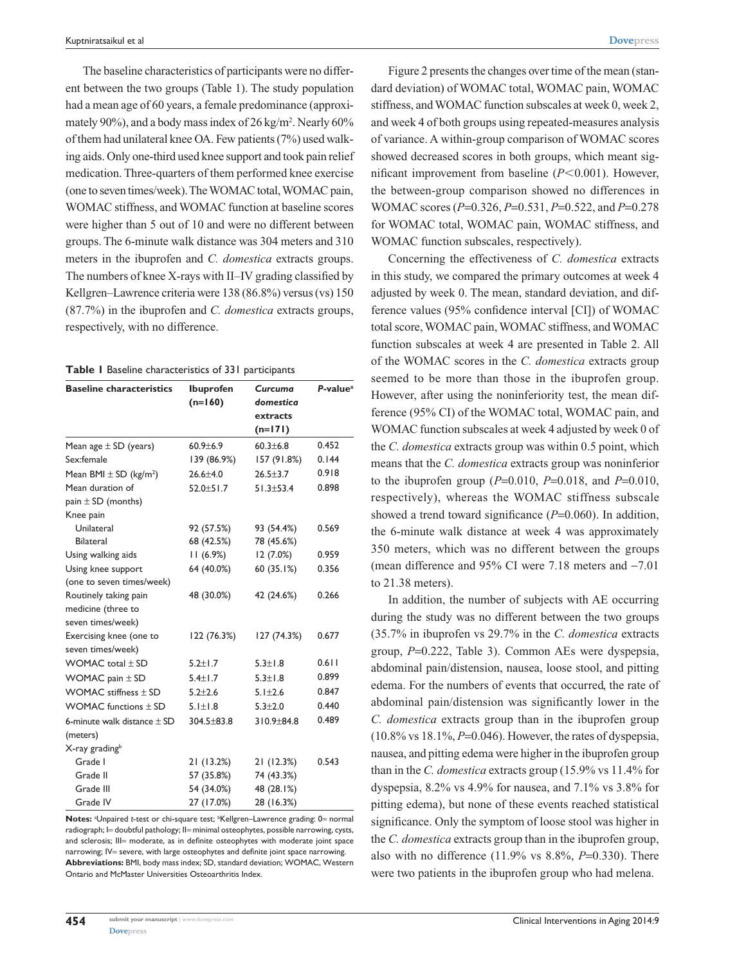The baseline characteristics of participants were no different between the two groups (Table 1). The study population had a mean age of 60 years, a female predominance (approximately 90%), and a body mass index of 26 kg/m<sup>2</sup>. Nearly 60% of them had unilateral knee OA. Few patients (7%) used walking aids. Only one-third used knee support and took pain relief medication. Three-quarters of them performed knee exercise (one to seven times/week). The WOMAC total, WOMAC pain, WOMAC stiffness, and WOMAC function at baseline scores were higher than 5 out of 10 and were no different between groups. The 6-minute walk distance was 304 meters and 310 meters in the ibuprofen and *C. domestica* extracts groups. The numbers of knee X-rays with II–IV grading classified by Kellgren–Lawrence criteria were 138 (86.8%) versus (vs) 150 (87.7%) in the ibuprofen and *C. domestica* extracts groups, respectively, with no difference.

#### **Table 1** Baseline characteristics of 331 participants

| <b>Baseline characteristics</b>        | <b>Ibuprofen</b><br>$(n=160)$ | Curcuma<br>domestica<br>extracts | P-value <sup>a</sup> |
|----------------------------------------|-------------------------------|----------------------------------|----------------------|
|                                        |                               | $(n=171)$                        |                      |
| Mean age $\pm$ SD (years)              | $60.9 \pm 6.9$                | $60.3 \pm 6.8$                   | 0.452                |
| Sex:female                             | 139 (86.9%)                   | 157 (91.8%)                      | 0.144                |
| Mean BMI $\pm$ SD (kg/m <sup>2</sup> ) | $26.6 \pm 4.0$                | $26.5 \pm 3.7$                   | 0.918                |
| Mean duration of                       | $52.0 \pm 51.7$               | $51.3 \pm 53.4$                  | 0.898                |
| pain $\pm$ SD (months)                 |                               |                                  |                      |
| Knee pain                              |                               |                                  |                      |
| Unilateral                             | 92 (57.5%)                    | 93 (54.4%)                       | 0.569                |
| <b>Bilateral</b>                       | 68 (42.5%)                    | 78 (45.6%)                       |                      |
| Using walking aids                     | 11(6.9%)                      | 12(7.0%)                         | 0.959                |
| Using knee support                     | 64 (40.0%)                    | 60(35.1%)                        | 0.356                |
| (one to seven times/week)              |                               |                                  |                      |
| Routinely taking pain                  | 48 (30.0%)                    | 42 (24.6%)                       | 0.266                |
| medicine (three to                     |                               |                                  |                      |
| seven times/week)                      |                               |                                  |                      |
| Exercising knee (one to                | 122 (76.3%)                   | 127 (74.3%)                      | 0.677                |
| seven times/week)                      |                               |                                  |                      |
| WOMAC total $\pm$ SD                   | $5.2 \pm 1.7$                 | $5.3 \pm 1.8$                    | 0.611                |
| WOMAC pain $\pm$ SD                    | $5.4 \pm 1.7$                 | $5.3 \pm 1.8$                    | 0.899                |
| WOMAC stiffness $\pm$ SD               | $5.2 + 2.6$                   | $5.1 \pm 2.6$                    | 0.847                |
| WOMAC functions $\pm$ SD               | $5.1 \pm 1.8$                 | $5.3 + 2.0$                      | 0.440                |
| 6-minute walk distance $\pm$ SD        | 304.5±83.8                    | $310.9 \pm 84.8$                 | 0.489                |
| (meters)                               |                               |                                  |                      |
| X-ray grading <sup>b</sup>             |                               |                                  |                      |
| Grade I                                | 21(13.2%)                     | 21 (12.3%)                       | 0.543                |
| Grade II                               | 57 (35.8%)                    | 74 (43.3%)                       |                      |
| Grade III                              | 54 (34.0%)                    | 48 (28.1%)                       |                      |
| Grade IV                               | 27 (17.0%)                    | 28 (16.3%)                       |                      |

Notes: <sup>a</sup>Unpaired *t*-test or chi-square test; <sup>b</sup>Kellgren–Lawrence grading: 0= normal radiograph; l= doubtful pathology; ll= minimal osteophytes, possible narrowing, cysts, and sclerosis; III= moderate, as in definite osteophytes with moderate joint space narrowing; IV= severe, with large osteophytes and definite joint space narrowing. **Abbreviations:** BMI, body mass index; SD, standard deviation; WOMAC, Western Ontario and McMaster Universities Osteoarthritis Index.

Figure 2 presents the changes over time of the mean (standard deviation) of WOMAC total, WOMAC pain, WOMAC stiffness, and WOMAC function subscales at week 0, week 2, and week 4 of both groups using repeated-measures analysis of variance. A within-group comparison of WOMAC scores showed decreased scores in both groups, which meant significant improvement from baseline  $(P<0.001)$ . However, the between-group comparison showed no differences in WOMAC scores (*P*=0.326, *P*=0.531, *P*=0.522, and *P*=0.278 for WOMAC total, WOMAC pain, WOMAC stiffness, and WOMAC function subscales, respectively).

Concerning the effectiveness of *C. domestica* extracts in this study, we compared the primary outcomes at week 4 adjusted by week 0. The mean, standard deviation, and difference values (95% confidence interval [CI]) of WOMAC total score, WOMAC pain, WOMAC stiffness, and WOMAC function subscales at week 4 are presented in Table 2. All of the WOMAC scores in the *C. domestica* extracts group seemed to be more than those in the ibuprofen group. However, after using the noninferiority test, the mean difference (95% CI) of the WOMAC total, WOMAC pain, and WOMAC function subscales at week 4 adjusted by week 0 of the *C. domestica* extracts group was within 0.5 point, which means that the *C. domestica* extracts group was noninferior to the ibuprofen group (*P*=0.010, *P*=0.018, and *P*=0.010, respectively), whereas the WOMAC stiffness subscale showed a trend toward significance (*P*=0.060). In addition, the 6-minute walk distance at week 4 was approximately 350 meters, which was no different between the groups (mean difference and 95% CI were 7.18 meters and  $-7.01$ ) to 21.38 meters).

In addition, the number of subjects with AE occurring during the study was no different between the two groups (35.7% in ibuprofen vs 29.7% in the *C. domestica* extracts group, *P*=0.222, Table 3). Common AEs were dyspepsia, abdominal pain/distension, nausea, loose stool, and pitting edema. For the numbers of events that occurred, the rate of abdominal pain/distension was significantly lower in the *C. domestica* extracts group than in the ibuprofen group  $(10.8\% \text{ vs } 18.1\%, P=0.046)$ . However, the rates of dyspepsia, nausea, and pitting edema were higher in the ibuprofen group than in the *C. domestica* extracts group (15.9% vs 11.4% for dyspepsia, 8.2% vs 4.9% for nausea, and 7.1% vs 3.8% for pitting edema), but none of these events reached statistical significance. Only the symptom of loose stool was higher in the *C. domestica* extracts group than in the ibuprofen group, also with no difference (11.9% vs 8.8%, *P*=0.330). There were two patients in the ibuprofen group who had melena.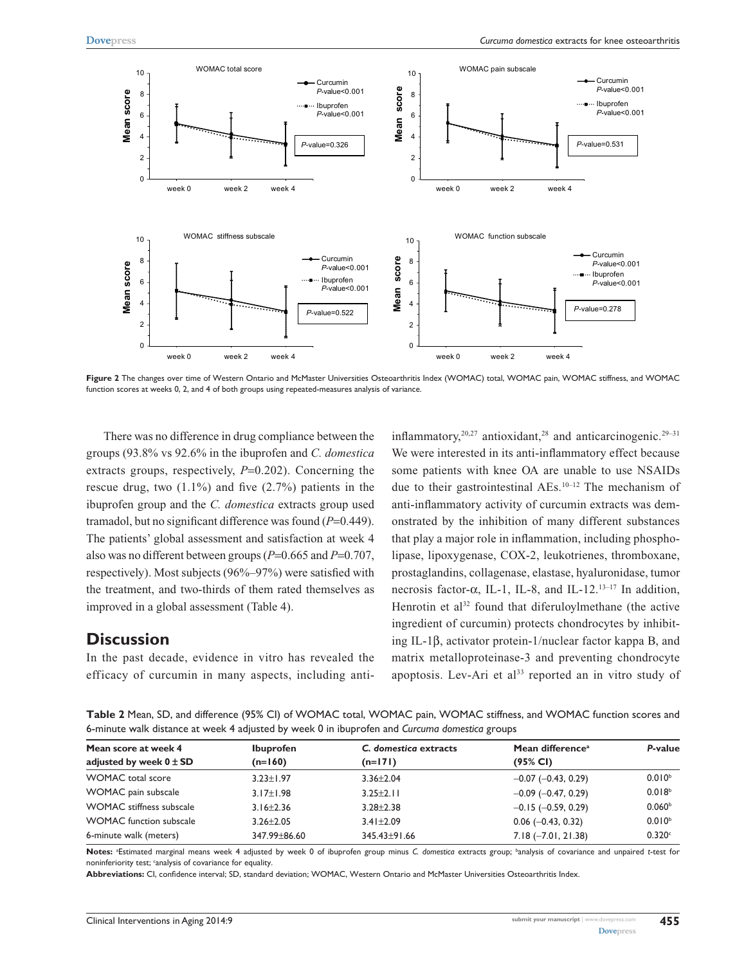

**Figure 2** The changes over time of Western Ontario and McMaster Universities Osteoarthritis Index (WOMAC) total, WOMAC pain, WOMAC stiffness, and WOMAC function scores at weeks 0, 2, and 4 of both groups using repeated-measures analysis of variance.

There was no difference in drug compliance between the groups (93.8% vs 92.6% in the ibuprofen and *C. domestica* extracts groups, respectively,  $P=0.202$ ). Concerning the rescue drug, two  $(1.1\%)$  and five  $(2.7\%)$  patients in the ibuprofen group and the *C. domestica* extracts group used tramadol, but no significant difference was found (*P*=0.449). The patients' global assessment and satisfaction at week 4 also was no different between groups (*P*=0.665 and *P*=0.707, respectively). Most subjects (96%–97%) were satisfied with the treatment, and two-thirds of them rated themselves as improved in a global assessment (Table 4).

#### **Discussion**

In the past decade, evidence in vitro has revealed the efficacy of curcumin in many aspects, including antiinflammatory,<sup>20,27</sup> antioxidant,<sup>28</sup> and anticarcinogenic.<sup>29–31</sup> We were interested in its anti-inflammatory effect because some patients with knee OA are unable to use NSAIDs due to their gastrointestinal AEs.10–12 The mechanism of anti-inflammatory activity of curcumin extracts was demonstrated by the inhibition of many different substances that play a major role in inflammation, including phospholipase, lipoxygenase, COX-2, leukotrienes, thromboxane, prostaglandins, collagenase, elastase, hyaluronidase, tumor necrosis factor-α, IL-1, IL-8, and IL-12.<sup>13-17</sup> In addition, Henrotin et al<sup>32</sup> found that diferuloylmethane (the active ingredient of curcumin) protects chondrocytes by inhibiting IL-1β, activator protein-1/nuclear factor kappa B, and matrix metalloproteinase-3 and preventing chondrocyte apoptosis. Lev-Ari et al<sup>33</sup> reported an in vitro study of

**Table 2** Mean, SD, and difference (95% CI) of WOMAC total, WOMAC pain, WOMAC stiffness, and WOMAC function scores and 6-minute walk distance at week 4 adjusted by week 0 in ibuprofen and *Curcuma domestica* groups

| Mean score at week 4            | <b>Ibuprofen</b> | C. domestica extracts | Mean difference <sup>a</sup> | P-value            |
|---------------------------------|------------------|-----------------------|------------------------------|--------------------|
| adjusted by week $0 \pm SD$     | $(n=160)$        | $(n=171)$             | (95% CI)                     |                    |
| <b>WOMAC</b> total score        | $3.23 \pm 1.97$  | $3.36 + 2.04$         | $-0.07$ ( $-0.43$ , 0.29)    | $0.010^{b}$        |
| WOMAC pain subscale             | $3.17 \pm 1.98$  | $3.25 \pm 2.11$       | $-0.09$ ( $-0.47$ , 0.29)    | 0.018 <sup>b</sup> |
| <b>WOMAC</b> stiffness subscale | $3.16 \pm 2.36$  | $3.28 + 2.38$         | $-0.15$ ( $-0.59$ , 0.29)    | 0.060 <sup>b</sup> |
| <b>WOMAC</b> function subscale  | $3.26 + 2.05$    | $3.41 \pm 2.09$       | $0.06$ (-0.43, 0.32)         | 0.010 <sup>b</sup> |
| 6-minute walk (meters)          | 347.99 + 86.60   | $345.43 + 91.66$      | $7.18 (-7.01, 21.38)$        | 0.320c             |

**Notes:** <sup>a</sup> Estimated marginal means week 4 adjusted by week 0 of ibuprofen group minus *C. domestica* extracts group; b analysis of covariance and unpaired *t*-test for noninferiority test; 'analysis of covariance for equality.

**Abbreviations:** CI, confidence interval; SD, standard deviation; WOMAC, Western Ontario and McMaster Universities Osteoarthritis Index.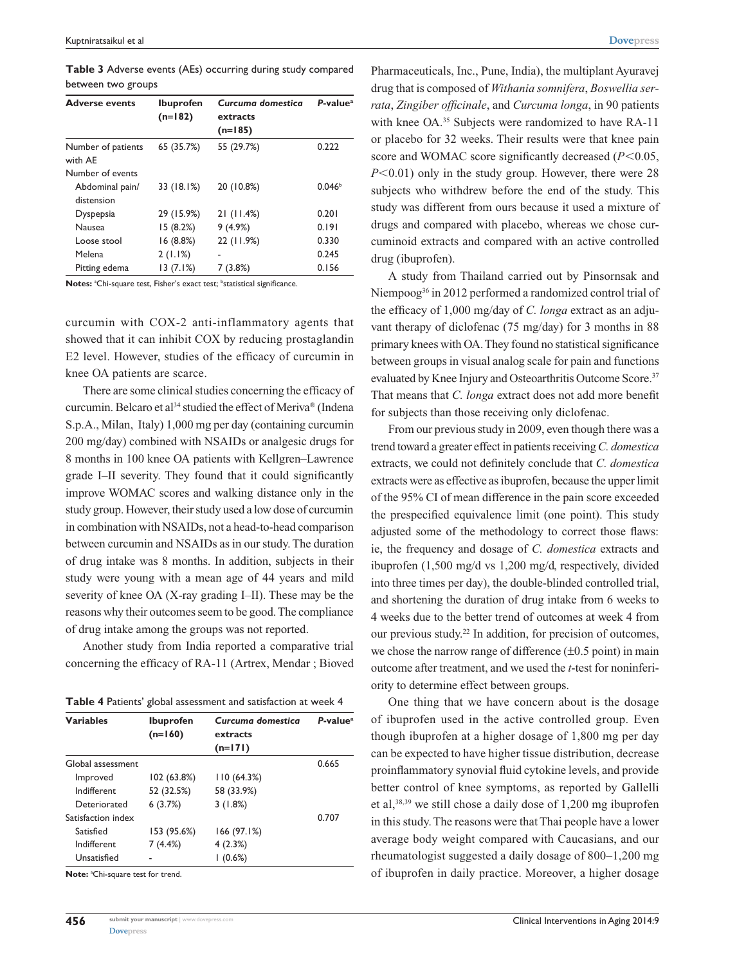**Table 3** Adverse events (AEs) occurring during study compared between two groups

| <b>Adverse events</b>         | <b>Ibuprofen</b><br>$(n=182)$ | Curcuma domestica<br>extracts<br>$(n=185)$ | $P-valuea$         |
|-------------------------------|-------------------------------|--------------------------------------------|--------------------|
| Number of patients<br>with AE | 65 (35.7%)                    | 55 (29.7%)                                 | 0.222              |
| Number of events              |                               |                                            |                    |
| Abdominal pain/               | 33 (18.1%)                    | 20 (10.8%)                                 | 0.046 <sup>b</sup> |
| distension                    |                               |                                            |                    |
| <b>Dyspepsia</b>              | 29 (15.9%)                    | 21(11.4%)                                  | 0.201              |
| <b>Nausea</b>                 | 15(8.2%)                      | 9(4.9%)                                    | 0.191              |
| Loose stool                   | 16(8.8%)                      | 22 (11.9%)                                 | 0.330              |
| Melena                        | 2(1.1%)                       |                                            | 0.245              |
| Pitting edema                 | 13(7.1%)                      | 7 (3.8%)                                   | 0.156              |

Notes: <sup>a</sup>Chi-square test, Fisher's exact test; <sup>b</sup>statistical significance.

curcumin with COX-2 anti-inflammatory agents that showed that it can inhibit COX by reducing prostaglandin E2 level. However, studies of the efficacy of curcumin in knee OA patients are scarce.

There are some clinical studies concerning the efficacy of curcumin. Belcaro et al<sup>34</sup> studied the effect of Meriva® (Indena S.p.A., Milan, Italy) 1,000 mg per day (containing curcumin 200 mg/day) combined with NSAIDs or analgesic drugs for 8 months in 100 knee OA patients with Kellgren–Lawrence grade I–II severity. They found that it could significantly improve WOMAC scores and walking distance only in the study group. However, their study used a low dose of curcumin in combination with NSAIDs, not a head-to-head comparison between curcumin and NSAIDs as in our study. The duration of drug intake was 8 months. In addition, subjects in their study were young with a mean age of 44 years and mild severity of knee OA (X-ray grading I–II). These may be the reasons why their outcomes seem to be good. The compliance of drug intake among the groups was not reported.

Another study from India reported a comparative trial concerning the efficacy of RA-11 (Artrex, Mendar ; Bioved

| <b>Variables</b>   | <b>Ibuprofen</b><br>$(n=160)$ | Curcuma domestica<br>extracts<br>$(n=171)$ | $P-valuea$ |
|--------------------|-------------------------------|--------------------------------------------|------------|
| Global assessment  |                               |                                            | 0.665      |
| Improved           | 102 (63.8%)                   | 110(64.3%)                                 |            |
| Indifferent        | 52 (32.5%)                    | 58 (33.9%)                                 |            |
| Deteriorated       | 6(3.7%)                       | 3(1.8%)                                    |            |
| Satisfaction index |                               |                                            | 0.707      |
| Satisfied          | 153 (95.6%)                   | 166(97.1%)                                 |            |
| Indifferent        | 7(4.4%)                       | 4(2.3%)                                    |            |
| Unsatisfied        |                               | $(0.6\%)$                                  |            |

Note: <sup>a</sup>Chi-square test for trend.

Pharmaceuticals, Inc., Pune, India), the multiplant Ayuravej drug that is composed of *Withania somnifera*, *Boswellia serrata*, *Zingiber officinale*, and *Curcuma longa*, in 90 patients with knee OA.<sup>35</sup> Subjects were randomized to have RA-11 or placebo for 32 weeks. Their results were that knee pain score and WOMAC score significantly decreased  $(P<0.05$ ,  $P<0.01$ ) only in the study group. However, there were 28 subjects who withdrew before the end of the study. This study was different from ours because it used a mixture of drugs and compared with placebo, whereas we chose curcuminoid extracts and compared with an active controlled drug (ibuprofen).

A study from Thailand carried out by Pinsornsak and Niempoog36 in 2012 performed a randomized control trial of the efficacy of 1,000 mg/day of *C. longa* extract as an adjuvant therapy of diclofenac (75 mg/day) for 3 months in 88 primary knees with OA. They found no statistical significance between groups in visual analog scale for pain and functions evaluated by Knee Injury and Osteoarthritis Outcome Score.<sup>37</sup> That means that *C. longa* extract does not add more benefit for subjects than those receiving only diclofenac.

From our previous study in 2009, even though there was a trend toward a greater effect in patients receiving *C. domestica* extracts, we could not definitely conclude that *C. domestica* extracts were as effective as ibuprofen, because the upper limit of the 95% CI of mean difference in the pain score exceeded the prespecified equivalence limit (one point). This study adjusted some of the methodology to correct those flaws: ie, the frequency and dosage of *C. domestica* extracts and ibuprofen (1,500 mg/d vs 1,200 mg/d, respectively, divided into three times per day), the double-blinded controlled trial, and shortening the duration of drug intake from 6 weeks to 4 weeks due to the better trend of outcomes at week 4 from our previous study.22 In addition, for precision of outcomes, we chose the narrow range of difference  $(\pm 0.5 \text{ point})$  in main outcome after treatment, and we used the *t*-test for noninferiority to determine effect between groups.

One thing that we have concern about is the dosage of ibuprofen used in the active controlled group. Even though ibuprofen at a higher dosage of 1,800 mg per day can be expected to have higher tissue distribution, decrease proinflammatory synovial fluid cytokine levels, and provide better control of knee symptoms, as reported by Gallelli et al,38,39 we still chose a daily dose of 1,200 mg ibuprofen in this study. The reasons were that Thai people have a lower average body weight compared with Caucasians, and our rheumatologist suggested a daily dosage of 800–1,200 mg of ibuprofen in daily practice. Moreover, a higher dosage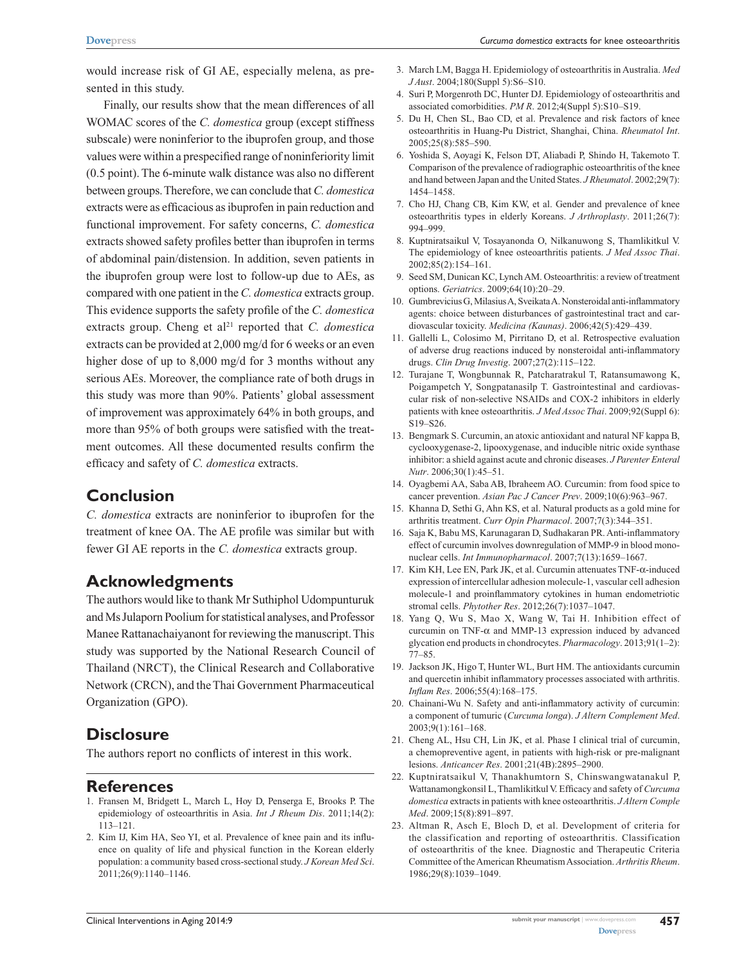would increase risk of GI AE, especially melena, as presented in this study.

Finally, our results show that the mean differences of all WOMAC scores of the *C. domestica* group (except stiffness subscale) were noninferior to the ibuprofen group, and those values were within a prespecified range of noninferiority limit (0.5 point). The 6-minute walk distance was also no different between groups. Therefore, we can conclude that *C. domestica* extracts were as efficacious as ibuprofen in pain reduction and functional improvement. For safety concerns, *C. domestica* extracts showed safety profiles better than ibuprofen in terms of abdominal pain/distension. In addition, seven patients in the ibuprofen group were lost to follow-up due to AEs, as compared with one patient in the *C. domestica* extracts group. This evidence supports the safety profile of the *C. domestica* extracts group. Cheng et al<sup>21</sup> reported that *C. domestica* extracts can be provided at 2,000 mg/d for 6 weeks or an even higher dose of up to 8,000 mg/d for 3 months without any serious AEs. Moreover, the compliance rate of both drugs in this study was more than 90%. Patients' global assessment of improvement was approximately 64% in both groups, and more than 95% of both groups were satisfied with the treatment outcomes. All these documented results confirm the efficacy and safety of *C. domestica* extracts.

# **Conclusion**

*C. domestica* extracts are noninferior to ibuprofen for the treatment of knee OA. The AE profile was similar but with fewer GI AE reports in the *C. domestica* extracts group.

# **Acknowledgments**

The authors would like to thank Mr Suthiphol Udompunturuk and Ms Julaporn Poolium for statistical analyses, and Professor Manee Rattanachaiyanont for reviewing the manuscript. This study was supported by the National Research Council of Thailand (NRCT), the Clinical Research and Collaborative Network (CRCN), and the Thai Government Pharmaceutical Organization (GPO).

# **Disclosure**

The authors report no conflicts of interest in this work.

#### **References**

- 1. Fransen M, Bridgett L, March L, Hoy D, Penserga E, Brooks P. The epidemiology of osteoarthritis in Asia. *Int J Rheum Dis*. 2011;14(2): 113–121.
- 2. Kim IJ, Kim HA, Seo YI, et al. Prevalence of knee pain and its influence on quality of life and physical function in the Korean elderly population: a community based cross-sectional study. *J Korean Med Sci*. 2011;26(9):1140–1146.
- 3. March LM, Bagga H. Epidemiology of osteoarthritis in Australia. *Med J Aust*. 2004;180(Suppl 5):S6–S10.
- 4. Suri P, Morgenroth DC, Hunter DJ. Epidemiology of osteoarthritis and associated comorbidities. *PM R*. 2012;4(Suppl 5):S10–S19.
- 5. Du H, Chen SL, Bao CD, et al. Prevalence and risk factors of knee osteoarthritis in Huang-Pu District, Shanghai, China. *Rheumatol Int*. 2005;25(8):585–590.
- 6. Yoshida S, Aoyagi K, Felson DT, Aliabadi P, Shindo H, Takemoto T. Comparison of the prevalence of radiographic osteoarthritis of the knee and hand between Japan and the United States. *J Rheumatol*. 2002;29(7): 1454–1458.
- 7. Cho HJ, Chang CB, Kim KW, et al. Gender and prevalence of knee osteoarthritis types in elderly Koreans. *J Arthroplasty*. 2011;26(7): 994–999.
- 8. Kuptniratsaikul V, Tosayanonda O, Nilkanuwong S, Thamlikitkul V. The epidemiology of knee osteoarthritis patients. *J Med Assoc Thai*. 2002;85(2):154–161.
- 9. Seed SM, Dunican KC, Lynch AM. Osteoarthritis: a review of treatment options. *Geriatrics*. 2009;64(10):20–29.
- 10. Gumbrevicius G, Milasius A, Sveikata A. Nonsteroidal anti-inflammatory agents: choice between disturbances of gastrointestinal tract and cardiovascular toxicity. *Medicina (Kaunas)*. 2006;42(5):429–439.
- 11. Gallelli L, Colosimo M, Pirritano D, et al. Retrospective evaluation of adverse drug reactions induced by nonsteroidal anti-inflammatory drugs. *Clin Drug Investig*. 2007;27(2):115–122.
- 12. Turajane T, Wongbunnak R, Patcharatrakul T, Ratansumawong K, Poigampetch Y, Songpatanasilp T. Gastrointestinal and cardiovascular risk of non-selective NSAIDs and COX-2 inhibitors in elderly patients with knee osteoarthritis. *J Med Assoc Thai*. 2009;92(Suppl 6): S19–S26.
- 13. Bengmark S. Curcumin, an atoxic antioxidant and natural NF kappa B, cyclooxygenase-2, lipooxygenase, and inducible nitric oxide synthase inhibitor: a shield against acute and chronic diseases. *J Parenter Enteral Nutr*. 2006;30(1):45–51.
- 14. Oyagbemi AA, Saba AB, Ibraheem AO. Curcumin: from food spice to cancer prevention. *Asian Pac J Cancer Prev*. 2009;10(6):963–967.
- 15. Khanna D, Sethi G, Ahn KS, et al. Natural products as a gold mine for arthritis treatment. *Curr Opin Pharmacol*. 2007;7(3):344–351.
- 16. Saja K, Babu MS, Karunagaran D, Sudhakaran PR. Anti-inflammatory effect of curcumin involves downregulation of MMP-9 in blood mononuclear cells. *Int Immunopharmacol*. 2007;7(13):1659–1667.
- 17. Kim KH, Lee EN, Park JK, et al. Curcumin attenuates TNF-α-induced expression of intercellular adhesion molecule-1, vascular cell adhesion molecule-1 and proinflammatory cytokines in human endometriotic stromal cells. *Phytother Res*. 2012;26(7):1037–1047.
- 18. Yang Q, Wu S, Mao X, Wang W, Tai H. Inhibition effect of curcumin on TNF- $\alpha$  and MMP-13 expression induced by advanced glycation end products in chondrocytes. *Pharmacology*. 2013;91(1–2): 77–85.
- 19. Jackson JK, Higo T, Hunter WL, Burt HM. The antioxidants curcumin and quercetin inhibit inflammatory processes associated with arthritis. *Inflam Res*. 2006;55(4):168–175.
- 20. Chainani-Wu N. Safety and anti-inflammatory activity of curcumin: a component of tumuric (*Curcuma longa*). *J Altern Complement Med*. 2003;9(1):161–168.
- 21. Cheng AL, Hsu CH, Lin JK, et al. Phase I clinical trial of curcumin, a chemopreventive agent, in patients with high-risk or pre-malignant lesions. *Anticancer Res*. 2001;21(4B):2895–2900.
- 22. Kuptniratsaikul V, Thanakhumtorn S, Chinswangwatanakul P, Wattanamongkonsil L, Thamlikitkul V. Efficacy and safety of *Curcuma domestica* extracts in patients with knee osteoarthritis. *J Altern Comple Med*. 2009;15(8):891–897.
- 23. Altman R, Asch E, Bloch D, et al. Development of criteria for the classification and reporting of osteoarthritis. Classification of osteoarthritis of the knee. Diagnostic and Therapeutic Criteria Committee of the American Rheumatism Association. *Arthritis Rheum*. 1986;29(8):1039–1049.